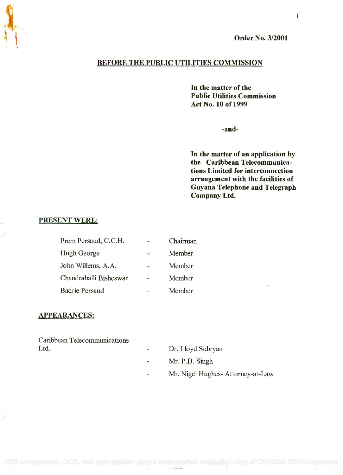Order No. 3/2001

# BEFORE THE PUBLIC UTILITIES COMMISSION

In the matter of the **In the matter of the** Public Utilities Commission **Public Utilities Commission** Act No. 10 of 1999 **Act No. 10 of 1999**

-and-

In the matter of an application by **In the matter of an application by** the Caribbean Telecommunica-**the Caribbean Telecommunica**tions Limited for interconnection **tions Limited for interconnection** arrangement with the facilities of **arrangement with the facilities of** Guyana Telephone and Telegraph **Guyana Telephone and Telegraph** Company Ltd. **Company Ltd.**

# PRESENT WERE:

| Prem Persaud, C.C.H.   | $y = 0$       | Chairman |
|------------------------|---------------|----------|
| Hugh George            | 湑             | Member   |
| John Willems, A.A.     | genge         | Member   |
| Chandraballi Bisheswar | <b>Canada</b> | Member   |
| <b>Badrie Persaud</b>  |               | Member   |

#### APPEARANCES:

Caribbean Telecommunications Caribbean Telecommunications Ltd. Dr. Lloyd Subryan Ltd. Dr. Lloyd Subryan

- 
- Mr. P.D. Singh Mr. P.D. Singh
- Mr. Nigel Hughes- Attorney-at-Law Mr. Nigel Hughes- Attorney-at-Law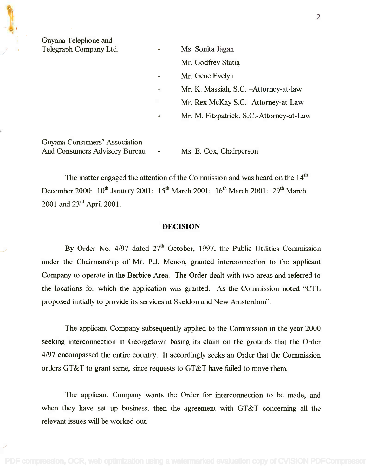Guyana Telephone and Guyana Telephone and

| Telegraph Company Ltd. | ٠                        | Ms. Sonita Jagan                         |
|------------------------|--------------------------|------------------------------------------|
|                        | $\overline{\phantom{a}}$ | Mr. Godfrey Statia                       |
|                        | $\overline{\phantom{a}}$ | Mr. Gene Evelyn                          |
|                        | ٠                        | Mr. K. Massiah, S.C. - Attorney-at-law   |
|                        | ë.                       | Mr. Rex McKay S.C.- Attorney-at-Law      |
|                        | $\frac{1}{\sqrt{2}}$     | Mr. M. Fitzpatrick, S.C.-Attorney-at-Law |
|                        |                          |                                          |

Guyana Consumers' Association Guyana Consumers' Association And Consumers Advisory Bureau - Ms. E. Cox, Chairperson

The matter engaged the attention of the Commission and was heard on the 14<sup>th</sup> December 2000: 10<sup>th</sup> January 2001: 15<sup>th</sup> March 2001: 16<sup>th</sup> March 2001: 29<sup>th</sup> March 2001 and 23rd April 2001. 2001 and 23 rd April 2001.

# DECISION

By Order No. 4/97 dated  $27<sup>th</sup>$  October, 1997, the Public Utilities Commission under the Chairmanship of Mr. P.J. Menon, granted interconnection to the applicant under the Chairmanship of Mr. P.J. Menon, granted interconnection to the applicant Company to operate in the Berbice Area. The Order dealt with two areas and referred to Company to operate in the Berbice Area. The Order dealt with two areas and referred to the locations for which the application was granted. As the Commission noted "CTL the locations for which the application was granted. As the Commission noted "CTL proposed initially to provide its services at Skeldon and New Amsterdam". proposed initially to provide its services at Skeldon and New Amsterdam".

The applicant Company subsequently applied to the Commission in the year 2000 The applicant Company subsequently applied to the Commission in the year 2000 seeking interconnection in Georgetown basing its claim on the grounds that the Order seeking interconnection in Georgetown basing its claim on the grounds that the Order 4/97 encompassed the entire country. It accordingly seeks an Order that the Commission 4/97 encompassed the entire country. It accordingly seeks an Order that the Commission orders GT&T to grant same, since requests to GT&T have failed to move them. orders GT&T to grant same, since requests to GT&T have failed to move them.

The applicant Company wants the Order for interconnection to be made, and The applicant Company wants the Order for interconnection to be made, and when they have set up business, then the agreement with GT&T concerning all the relevant issues will be worked out. relevant issues will be worked out.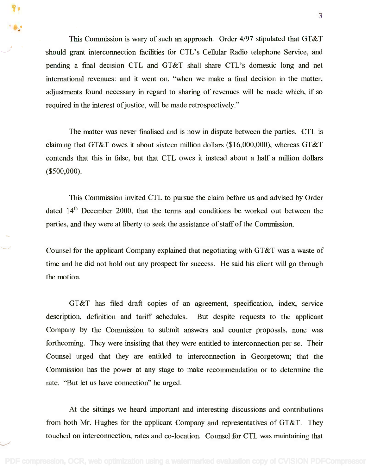This Commission is wary of such an approach. Order 4/97 stipulated that GT&T should grant interconnection facilities for CTL's Cellular Radio telephone Service, and should grant interconnection facilities for CTL's Cellular Radio telephone Service, and pending a final decision CTL and GT&T shall share CTL's domestic long and net pending a final decision CTL and GT&T shall share CTL's domestic long and net international revenues: and it went on, "when we make a final decision in the matter, international revenues: and it went on, "when we make a final decision in the matter, adjustments found necessary in regard to sharing of revenues will be made which, if so adjustments found necessary in regard to sharing of revenues will be made which, if so required in the interest of justice, will be made retrospectively." required in the interest of justice, will be made retrospectively."

The matter was never finalised and is now in dispute between the parties. CTL is The matter was never finalised and is now in dispute between the parties. CTL is claiming that GT&T owes it about sixteen million dollars (\$16,000,000), whereas GT&T claiming that GT&T owes it about sixteen million dollars (\$16,000,000), whereas GT&T contends that this in false, but that CTL owes it instead about a half a million dollars contends that this in false, but that CTL owes it instead about a half a million dollars (\$500,000). (\$500,000).

This Commission invited CTL to pursue the claim before us and advised by Order This Commission invited CTL to pursue the claim before us and advised by Order dated  $14<sup>th</sup>$  December 2000, that the terms and conditions be worked out between the parties, and they were at liberty to seek the assistance of staff of the Commission. parties, and they were at liberty to seek the assistance of staff of the Commission.

Counsel for the applicant Company explained that negotiating with GT&T was a waste of Counsel for the applicant Company explained that negotiating with GT&T was a waste of time and he did not hold out any prospect for success. He said his client will go through time and he did not hold out any prospect for success. He said his client will go through the motion. the motion.

GT&T has filed draft copies of an agreement, specification, index, service description, definition and tariff schedules. But despite requests to the applicant description, definition and tariff schedules. But despite requests to the applicant Company by the Commission to submit answers and counter proposals, none was Company by the Commission to submit answers and counter proposals, none was forthcoming. They were insisting that they were entitled to interconnection per se. Their forthcoming. They were insisting that they were entitled to interconnection per se. Their Counsel urged that they are entitled to interconnection in Georgetown; that the Commission has the power at any stage to make recommendation or to determine the Commission has the power at any stage to make recommendation or to determine the rate. "But let us have connection" he urged. rate. "But let us have connection" he urged.

At the sittings we heard important and interesting discussions and contributions At the sittings we heard important and interesting discussions and contributions from both Mr. Hughes for the applicant Company and representatives of GT&T. They from both Mr. Hughes for the applicant Company and representatives of GT&T. They touched on interconnection, rates and co-location. Counsel for CTL was maintaining that touched on interconnection, rates and co-location. Counsel for CTL was maintaining that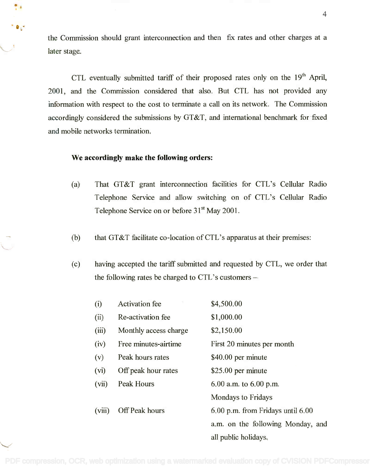the Commission should grant interconnection and then fix rates and other charges at a the Commission should grant interconnection and then fix rates and other charges at a ater stage.

> CTL eventually submitted tariff of their proposed rates only on the 19<sup>th</sup> April, 2001, and the Commission considered that also. But CTL has not provided any 2001, and the Commission considered that also. But CTL has not provided any information with respect to the cost to terminate a call on its network. The Commission information with respect to the cost to terminate a call on its network. The Commission accordingly considered the submissions by GT&T, and international benchmark for fixed accordingly considered the submissions by GT&T, and international benchmark for fixed and mobile networks termination. and mobile networks termination.

# We accordingly make the following orders:

- (a) That GT&T grant interconnection facilities for CTL's Cellular Radio (a) That GT&T grant interconnection facilities for CTL's Cellular Radio Telephone Service and allow switching on of CTL's Cellular Radio Telephone Service and allow switching on of CTL's Cellular Radio Telephone Service on or before 31<sup>st</sup> May 2001.
- (b) that GT&T facilitate co-location of CTL's apparatus at their premises:
- (c) having accepted the tariff submitted and requested by CTL, we order that (c) having accepted the tariff submitted and requested by CTL, we order that the following rates be charged to CTL's customers –

| (i)    | <b>Activation</b> fee | \$4,500.00                        |
|--------|-----------------------|-----------------------------------|
| (ii)   | Re-activation fee     | \$1,000.00                        |
| (iii)  | Monthly access charge | \$2,150.00                        |
| (iv)   | Free minutes-airtime  | First 20 minutes per month        |
| (v)    | Peak hours rates      | \$40.00 per minute                |
| (vi)   | Off peak hour rates   | $$25.00$ per minute               |
| (vii)  | <b>Peak Hours</b>     | $6.00$ a.m. to $6.00$ p.m.        |
|        |                       | <b>Mondays to Fridays</b>         |
| (viii) | <b>Off Peak hours</b> | 6.00 p.m. from Fridays until 6.00 |
|        |                       | a.m. on the following Monday, and |
|        |                       | all public holidays.              |

/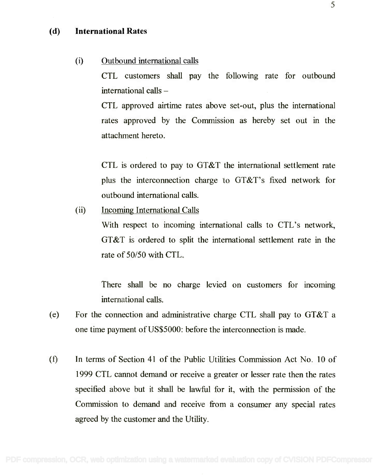### (d) International Rates

#### (i) Outbound international calls (i) Outbound international calls

CTL customers shall pay the following rate for outbound CTL customers shall pay the following rate for outbound international calls international calls -

CTL approved airtime rates above set-out, plus the international CTL approved airtime rates above set-out, plus the international rates approved by the Commission as hereby set out in the attachment hereto. attachment hereto.

CTL is ordered to pay to GT&T the international settlement rate CTL is ordered to pay to GT&T the international settlement rate plus the interconnection charge to GT&T's fixed network for plus the interconnection charge to GT&T's fIxed network for outbound international calls. outbound international calls.

(ii) Incoming International Calls

With respect to incoming international calls to CTL's network, With respect to incoming international calls to CTL's network, GT&T is ordered to split the international settlement rate in the GT&T is ordered to split the international settlement rate in the rate of 50/50 with CTL. rate of *50/50* with CTL.

There shall be no charge levied on customers for incoming There shall be no charge levied on customers for incoming international calls. international calls.

- (e) For the connection and administrative charge CTL shall pay to GT&T a (e) For the connection and administrative charge CTL shall pay to GT&T a one time payment of US\$5000: before the interconnection is made. one time payment ofUS\$5000: before the interconnection is made.
- In terms of Section 41 of the Public Utilities Commission Act No. 10 of (f) In terms of Section 41 of the Public Utilities Commission Act No. 10 of 1999 CTL cannot demand or receive a greater or lesser rate then the rates 1999 CTL cannot demand or receive a greater or lesser rate then the rates specified above but it shall be lawful for it, with the permission of the specifIed above but it shall be lawful for it, with the permission of the Commission to demand and receive from a consumer any special rates Commission to demand and receive from a consumer any special rates agreed by the customer and the Utility. agreed by the customer and the Utility.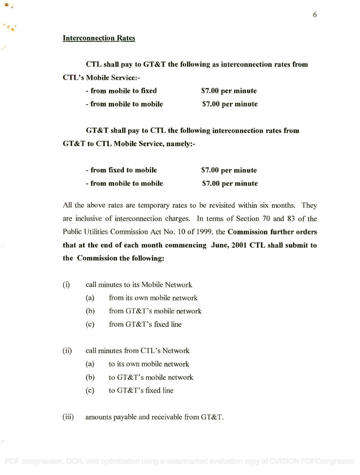#### Interconnection Rates

CTL shall pay to GT&T the following as interconnection rates from CTL shall pay to GT &T the following as interconnection rates from CTL's Mobile Service:- CTL's Mobile Service:-

| - from mobile to fixed  | \$7.00 per minute |
|-------------------------|-------------------|
| - from mobile to mobile | \$7.00 per minute |

GT&T shall pay to CTL the following interconnection rates from GT &T shall pay to CTL the following interconnection rates from GT&T to CTL Mobile Service, namely:- GT &T to CTL Mobile Service, namely:-

| - from fixed to mobile  | \$7.00 per minute |
|-------------------------|-------------------|
| - from mobile to mobile | \$7.00 per minute |

All the above rates are temporary rates to be revisited within six months. They All the above rates are temporary rates to be revisited within six months. They are inclusive of interconnection charges. In terms of Section 70 and 83 of the are inclusive of interconnection charges. In terms of Section 70 and 83 of the Public Utilities Commission Act No. 10 of 1999, the Commission further orders Public Utilities Commission Act No. 10 of 1999, the Commission further orders that at the end of each month commencing June, 2001 CTL shall submit to that at the end of each month commencing June, 2001 CTL shall submit to the Commission the following: the Commission the following:

- (0 call minutes to its Mobile Network (i) call minutes to its Mobile Network
	- (a) from its own mobile network (a) from its own mobile network
	- (b) from GT&T's mobile network (b) from GT&T's mobile network
	- $(c)$  from GT&T's fixed line
- (ii) call minutes from CTL's Network (ii) call minutes from CTL's Network
	- (a) to its own mobile network (a) to its own mobile network
	- (b) to GT&T's mobile network (b) to GT&T's mobile network
	- $(c)$  to GT&T's fixed line

(iii) amounts payable and receivable from GT&T.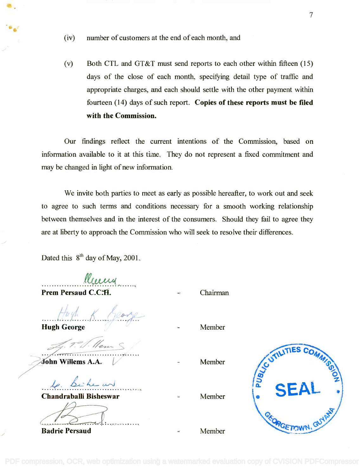- (iv) number of customers at the end of each month, and
- (v) Both CTL and GT&T must send reports to each other within fifteen (15) (v) Both CTL and GT&T must send reports to each other within fifteen (15) days of the close of each month, specifying detail type of traffic and appropriate charges, and each should settle with the other payment within appropriate charges, and each should settle with the other payment within fourteen (14) days of such report. Copies of these reports must be filed fourteen (14) days of such report. **Copies of these reports must be filed** with the Commission. **with the Commission.**

Our findings reflect the current intentions of the Commission, based on Our findings reflect the current intentions of the Commission, based on information available to it at this time. They do not represent a fixed commitment and information available to it at this time. They do not represent a fixed commitment and may be changed in light of new information. may be changed in light of new information.

We invite both parties to meet as early as possible hereafter, to work out and seek We invite both parties to meet as early as possible hereafter, to work out and seek to agree to such terms and conditions necessary for a smooth working relationship to agree to such terms and conditions necessary for a smooth working relationship between themselves and in the interest of the consumers. Should they fail to agree they between themselves and in the interest of the consumers. Should they fail to agree they are at liberty to approach the Commission who will seek to resolve their differences. are at liberty to approach the Commission who will seek to resolve their differences.

Dated this  $8<sup>th</sup>$  day of May, 2001.

 $ll$ Prem Persaud C.C.H. Chairman *.f~* **.......................................**

Hugh George Member */* Hugh K. Keor **.. .. .. .. .. 7. .. .. .. .. .. ~ .. .. .. .. .. .. .. .. .**

John Willems A.A.  $.7\%$ **..................................** *V*

le. Si *...k: 4.~.~ .*

Chandraballi Bisheswar **Chandraballi Bisheswar**

<sup>~</sup> .

Badrie Persaud

- 
- Member

Member

Member

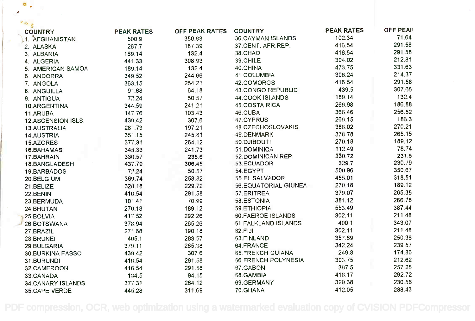| <b>COUNTRY</b>            | <b>FEAK RATES</b> | OFF PEAK RATES | <b>COUNTRY</b>              | <b>FEAK RATES</b> | <b>OFF PEAK</b> |  |
|---------------------------|-------------------|----------------|-----------------------------|-------------------|-----------------|--|
| 1. AFGHANISTAN            | 500.9             | 350.63         | <b>36.CAYMAN ISLANDS</b>    | 102.34            | 71.64           |  |
| 2. ALASKA                 | 267.7             | 187.39         | 37.CENT. AFR.REP.           | 416.54            | 291.58          |  |
| 3. ALBANIA                | 189.14            | 132.4          | 38.CHAD                     | 416.54            | 291.58          |  |
| 4. ALGERIA                | 441.33            | 308.93         | 39.CHILE                    | 304.02            | 212.81          |  |
| 5. AMERICAN SAMOA         | 189.14            | 132.4          | 40.CHINA                    | 473.75            | 331.63          |  |
| 6. ANDORRA                | 349.52            | 244.66         | 41.COLUMBIA                 | 306.24            | 214.37          |  |
| 7. ANGOLA                 | 363.15            | 254.21         | 42.COMORCS                  | 416.54            | 291.58          |  |
| 8. ANGUILLA               | 91.68             | 64.18          | 43.CONGO REPUBLIC           | 439.5             | 307.65          |  |
| 9. ANTIGUA                | 72.24             | 50.57          | 44.COOK ISLANDS             | 189.14            | 132.4           |  |
| 10.ARGENTINA              | 344.59            | 241.21         | <b>45.COSTA RICA</b>        | 266.98            | 186.88          |  |
| 11.ARUBA                  | 147.76            | 103.43         | 46.CUBA                     | 366.46            | 256.52          |  |
| <b>12.ASCENSION ISLS.</b> | 439.42            | 307.6          | 47.CYPRUS                   | 266.15            | 186.3           |  |
| 13.AUSTRALIA              | 281.73            | 197.21         | 48.CZECHOSLOVAKIS           | 386.02            | 270.21          |  |
| 14.AUSTRIA                | 351.15            | 245.81         | 49.DENMARK                  | 378.78            | 265.15          |  |
| 15.AZORES                 | 377.31            | 264.12         | 50.DJIBOUTI                 | 270.18            | 189.12          |  |
| 16.BAHAMAS                | 345.33            | 241.73         | 51.DOMINICA                 | 112.49            | 78.74           |  |
| 17.BAHRAIN                | 336.57            | 235.6          | 52. DOMINICAN REP.          | 330.72            | 231.5           |  |
| 18.BANGLADESH             | 437.79            | 306.45         | 53.ECUADOR                  | 329.7             | 230.79          |  |
| 19.BARBADOS               | 72.24             | 50.57          | 54.EGYPT                    | 500.96            | 350.67          |  |
| 20.BELGIUM                | 369.74            | 258.82         | 55.EL SALVADOR              | 455.01            | 318.51          |  |
| 21.BELIZE                 | 328.18            | 229.72         | <b>56.EQUATORIAL GIUNEA</b> | 270.18            | 189.12          |  |
| 22.BENIN                  | 416.54            | 291.58         | 57.ERITREA                  | 379.07            | 265.35          |  |
| 23.BERMUDA                | 101.41            | 70.99          | 58.ESTONIA                  | 381.12            | 266.78          |  |
| 24. BHUTAN                | 270.18            | 189.12         | 59.ETHIOPIA                 | 553.49            | 387.44          |  |
| 25.BOLVIA                 | 417.52            | 292.26         | <b>60.FAEROE ISLANDS</b>    | 302.11            | 211.48          |  |
| 26. BOTSWANA              | 378.94            | 265.26         | 61. FALKLAND ISLANDS        | 490.1             | 343.07          |  |
| 27.BRAZIL                 | 271.68            | 190.18         | 62.FIJI                     | 302.11            | 211.48          |  |
| 28.BRUNE!                 | 405.1             | 283.57         | 63.FINLAND                  | 357.69            | 250.38          |  |
| 29.BULGARIA               | 379.11            | 265.38         | 64.FRANCE                   | 342.24            | 239.57          |  |
| <b>30.BURKINA FASSO</b>   | 439.42            | 307.6          | <b>65.FRENCH GUIANA</b>     | 249.8             | 174.86          |  |
| 31.BURUNDI                | 416.54            | 291.58         | 66 FRENCH POLYNESIA         | 303.75            | 212.62          |  |
| 32.CAMEROON               | 416.54            | 291.58         | 67.GABON                    | 367.5             | 257.25          |  |
| 33.CANADA                 | 134.5             | 94.15          | 68.GAMBIA                   | 418.17            | 292.72          |  |
| 34.CANARY ISLANDS         | 377.31            | 264.12         | 69.GERMANY                  | 329.38            | 230.56          |  |
| 35.CAPE VERDE             | 445.28            | 311.69         | 70. GHANA                   | 412.05            | 288.43          |  |

 $\bullet$ 

 $40<sup>2</sup>$ 

10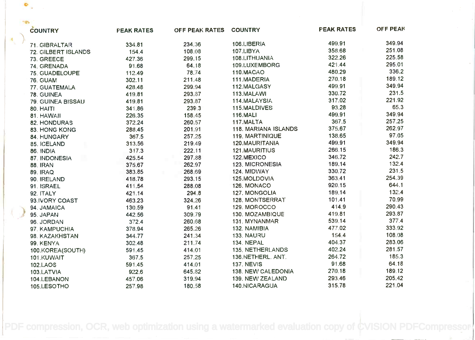|                | <b>COUNTRY</b>      | <b>PEAK RATES</b> | OFF PEAK RATES COUNTRY |                      | <b>PEAK RATES</b> | OFF PEAK |
|----------------|---------------------|-------------------|------------------------|----------------------|-------------------|----------|
| $\blacksquare$ | 71. GIBRALTAR       | 334.81            | 234.36                 | 106.LIBERIA          | 499.91            | 349.94   |
|                | 72. GILBERT ISLANDS | 154.4             | 108.08                 | 107.LIBYA            | 358.68            | 251.08   |
|                | 73. GREECE          | 427.36            | 299.15                 | 108.LITHUANIA        | 322.26            | 225.58   |
|                | 74. GRENADA         | 91.68             | 64.18                  | 109.LUXEMBORG        | 421.44            | 295.01   |
|                | 75. GUADELOUPE      | 112.49            | 78.74                  | 110.MACAO            | 480.29            | 336.2    |
|                | <b>76. GUAM</b>     | 302.11            | 211.48                 | 111.MADERIA          | 270.18            | 189.12   |
|                | 77. GUATEMALA       | 428.48            | 299.94                 | 112.MALGASY          | 499.91            | 349.94   |
|                | 78. GUINEA          | 419.81            | 293.87                 | 113.MALAWI           | 330.72            | 231.5    |
|                | 79. GUINEA BISSAU   | 419.81            | 293.87                 | 114. MALAYSIA        | 317.02            | 221.92   |
|                | 80. HAITI           | 341.86            | 239.3                  | 115.MALDIVES         | 93.28             | 65.3     |
|                | 81. HAWAII          | 226.35            | 158.45                 | <b>116.MALI</b>      | 499.91            | 349.94   |
|                | 82. HONDURAS        | 372.24            | 260.57                 | 117.MALTA            | 367.5             | 257.25   |
|                | 83. HONG KONG       | 288.45            | 201.91                 | 118. MARIANA ISLANDS | 375.67            | 262.97   |
|                | 84. HUNGARY         | 367.5             | 257.25                 | 119. MARTINIQUE      | 138.65            | 97.05    |
|                | 85. ICELAND         | 313.56            | 219.49                 | 120.MAURITANIA       | 499.91            | 349.94   |
|                | 86. INDIA           | 317.3             | 222.11                 | 121. MAURITIUS       | 266.15            | 186.3    |
|                | 87. INDONESIA       | 425.54            | 297.88                 | 122.MEXICO           | 346.72            | 242.7    |
|                | 88. IRAN            | 375.67            | 262.97                 | 123, MICRONESIA      | 189.14            | 132.4    |
|                | <b>89. IRAQ</b>     | 383.85            | 268.69                 | 124. MIDWAY          | 330.72            | 231.5    |
|                | 90. IRELAND         | 418.78            | 293.15                 | 125.MOLDOVIA         | 363.41            | 254.39   |
|                | 91. ISRAEL          | 411.54            | 288.08                 | 126. MONACO          | 920.15            | 644.1    |
|                | 92. ITALY           | 421.14            | 294.8                  | 127. MONGOLIA        | 189.14            | 132.4    |
|                | 93 IVORY COAST      | 463.23            | 324.26                 | 128. MONTSERRAT      | 101.41            | 70.99    |
|                | 94. JAMAICA         | 130.59            | 91.41                  | 129. MOROCCO         | 414.9             | 290.43   |
|                | 95. JAPAN           | 442.56            | 309.79                 | 130. MOZAMBIQUE      | 419.81            | 293.87   |
|                | 96. JORDAN          | 372.4             | 260.68                 | 131. MYNANMAR        | 539.14            | 377.4    |
|                | 97. KAMPUCHIA       | 378.94            | 265.26                 | 132. NAMIBIA         | 477.02            | 333.92   |
|                | 98. KAZAKHSTAN      | 344.77            | 241.34                 | <b>133. NAURU</b>    | 154.4             | 108.08   |
|                | 99. KENYA           | 302.48            | 211.74                 | 134. NEPAL           | 404.37            | 283.06   |
|                | 100.KORE:A(SOUTH)   | 591.45            | 414.01                 | 135. NETHERLANDS     | 402.24            | 281.57   |
|                | 101.KUWAIT          | 367.5             | 257.25                 | 136.NETHERL. ANT.    | 264.72            | 185.3    |
|                | 102.LAOS            | 591.45            | 414.01                 | <b>137. NEVIS</b>    | 91.68             | 64.18    |
|                | 103.LATVIA          | 922.6             | 645.82                 | 138. NEW CALEDONIA   | 270.18            | 189.12   |
|                | 104.LEBANON         | 457.06            | 319.94                 | 139. NEW ZEALAND     | 293.46            | 205.42   |
|                | 105.LESOTHO         | 257.98            | 180.58                 | 140.NICARAGUA        | 315.78            | 221.04   |

 $\bullet$ 

[PDF compression, OCR, web optimization using a watermarked evaluation copy of CVISION PDFCompressor](http://www.cvisiontech.com)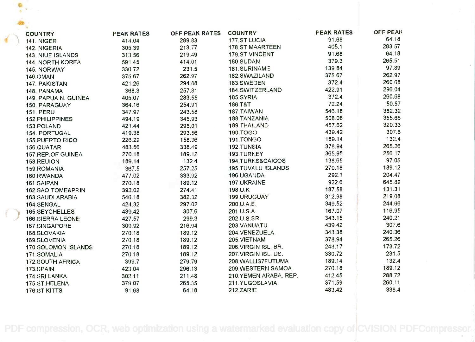| <b>COUNTRY</b>               | <b>PEAK RATES</b> | OFF PEAK RATES | <b>COUNTRY</b>            | <b>PEAK RATES</b> | <b>OFF PEAK</b> |  |
|------------------------------|-------------------|----------------|---------------------------|-------------------|-----------------|--|
| <b>141. NIGER</b>            | 414.04            | 289.83         | 177.ST LUCIA              | 91.68             | 64.18           |  |
| 142. NIGERIA                 | 305.39            | 213.77         | 178.ST MAARTEEN           | 405.1             | 283.57          |  |
| 143. NIUE ISLANDS            | 313.56            | 219.49         | 179.ST VINCENT            | 91.68             | 64.18           |  |
| 144. NORTH KOREA             | 591.45            | 414.01         | 180.SUDAN                 | 379.3             | 265.51          |  |
| 145. NORWAY                  | 330.72            | 231.5          | 181.SURINAME              | 139.84            | 97.89           |  |
| 146.OMAN                     | 375.67            | 262.97         | 182.SWAZILAND             | 375.67            | 262.97          |  |
| 147. PAKISTAN                | 421.26            | 294.88         | 183.SWEDEN                | 372.4             | 260.68          |  |
| 148. PANAMA                  | 368.3             | 257.81         | 184.SWITZERLAND           | 422.91            | 296.04          |  |
| 149. PAPUA N. GUINEA         | 405.07            | 283.55         | 185.SYRIA                 | 372.4             | 260.68          |  |
| 150. PARAGUAY                | 364.16            | 254.91         | 186.T&T                   | 72.24             | 50.57           |  |
| <b>151. PERU</b>             | 347.97            | 243.58         | 187. TAIWAN               | 546.18            | 382.32          |  |
| 152.PHILIPPINES              | 494.19            | 345.93         | 188.TANZANIA              | 508.08            | 355.66          |  |
| 153.POLAND                   | 421.44            | 295.01         | 189. THAILAND             | 457.62            | 320.33          |  |
| <b>154. PORTUGAL</b>         | 419.38            | 293.56         | 190.TOGO                  | 439.42            | 307.6           |  |
| <b>155.PUERTO RICO</b>       | 226.22            | 158.36         | 191.TONGO                 | 189.14            | 132.4           |  |
| 156.QUATAR                   | 483.56            | 338.49         | 192.TUNSIA                | 378.94            | 265.26          |  |
| 157.REP.OF GUINEA            | 270.18            | 189.12         | 193.TURKEY                | 365.95            | 256.17          |  |
| 158.REUION                   | 189.14            | 132.4          | 194.TURKS&CAICOS          | 138.65            | 97.05           |  |
| 159. ROMANIA                 | 367.5             | 257.25         | <b>195.TUVALU ISLANDS</b> | 270.18            | 189.12          |  |
| 160.RWANDA                   | 477.02            | 333.92         | 196.UGANDA                | 292.1             | 204.47          |  |
| 161.SAIPAN                   | 270.18            | 189.12         | 197.UKRAINE               | 922.6             | 645.82          |  |
| <b>162.SAO TOME&amp;PRIN</b> | 392.02            | 274.41         | 198.U.K                   | 187.58            | 131.31          |  |
| 163. SAUDI ARABIA            | 546.18            | 382.32         | 199.URUGUAY               | 312.98            | 219.08          |  |
| 164.SENGAL                   | 424.32            | 297.02         | 200.U.A.E.                | 349.52            | 244.66          |  |
| 165.SEYCHELLES               | 439.42            | 307.6          | 201.U.S.A.                | 167.07            | 116.95          |  |
| 166.SIERRA LEONE             | 427.57            | 299.3          | 202.U.S.SR.               | 343.15            | 240.21          |  |
| 167.SINGAPORE                | 309.92            | 216.94         | 203. VANUATU              | 439.42            | 307.6           |  |
| 168.SLOVAKIA                 | 270.18            | 189.12         | 204.VENEZUELA             | 343.38            | 240.36          |  |
| 169.SLOVENIA                 | 270.18            | 189.12         | 205.VIETNAM               | 378.94            | 265.26          |  |
| 170.SOLOMON ISLANDS          | 270.18            | 189.12         | 206. VIRGIN ISL. BR.      | 248.17            | 173.72          |  |
| 171.SOMALIA                  | 270.18            | 189.12         | 207. VIRGIN ISL. US.      | 330.72            | 231.5           |  |
| <b>172.SOUTH AFRICA</b>      | 399.7             | 279.79         | 208. WALLIS7FUTUMA        | 189.14            | 132.4           |  |
| 173.SPAIN                    | 423.04            | 296.13         | 209. WESTERN SAMOA        | 270.18            | 189.12          |  |
| 174.SRI LANKA                | 302.11            | 211.48         | 210. YEMEN ARABA, REP.    | 412.45            | 288.72          |  |
| 175.ST.HELENA                | 379.07            | 265.35         | 211.YUGOSLAVIA            | 371.59            | 260.11          |  |
| 176.ST KITTS                 | 91.68             | 64.18          | <b>212.ZARIE</b>          | 483.42            | 338.4           |  |

[PDF compression, OCR, web optimization using a watermarked evaluation copy of CVISION PDFCompressor](http://www.cvisiontech.com).